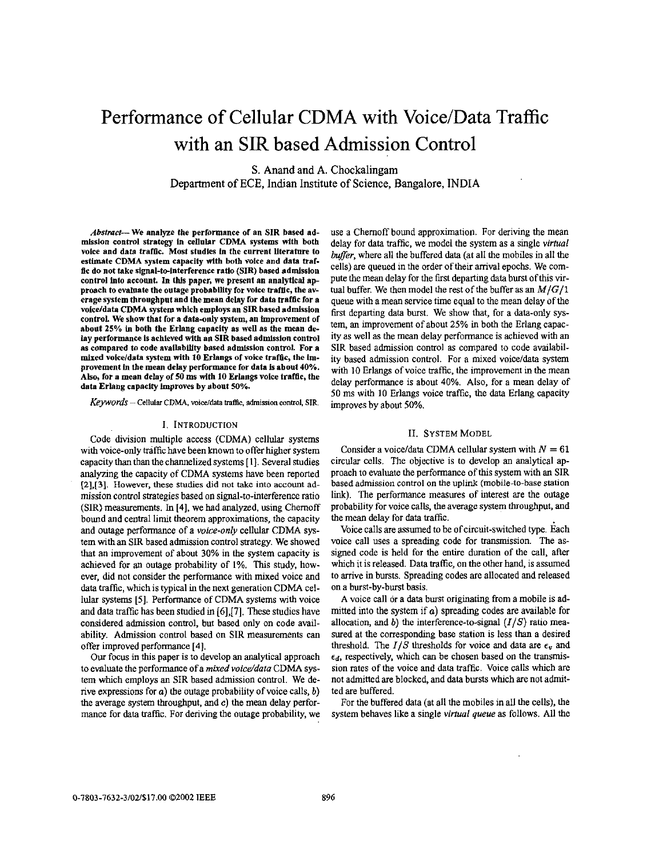# Performance of Cellular CDMA with Voice/Data Traffic with an SIR based Admission Control

**S.** Anand and A. Chockalingam Department of ECE, Indian Institute of Science, Bangalore, INDIA

Abstract- We analyze the performance of an SIR based admission control strategy in cellular **CDMA** systems with both voice and data traffic. Most studies In the current literature to estimate **CDMA** system capacity with both voice and data **traf**fic do not take signal-to-interference ratio (SIR) based admission control **into** account In this paper, we present an analytical approach to evaluate the outage probability for voice trafllc, the av- erage system throughput and the mean delay for data traffic for **a** volce/data **CDMA** system which employs an SIR based admission control. We show that for a data-only system, an improvement of about **25%** In both the Erlang capacity **as** well **as** the mean **de**lay performance is achieved with an SIR based admission control **as** compared to code availability based admission control. For **a**  mixed voice/data system with 10 Erlangs of voice traffic, the lmprovement in the mean delay performance for data Is about **40%. Ah,** for **a** mean delay of **50** ms with **10** Erlangs voice traffic, the data Erlang capacity improves by about **50%**.

Keywords - Cellular CDMA, voice/data traffic, admission control, SIR.

## I. INTRODUCTION

Code division multiple access (CDMA) cellular systems with voice-only traffic have been known to offer higher system capacity than than the channelized systems [ 1). Several studies analyzing the capacity of CDMA systems have been reported **[2],[3].** However, these studies did not take into account admission control strategies based on signal-to-interference ratio (SIR) measurements. In **141,** we had analyzed, using Chemoff bound and central limit theorem approximations, the capacity and outage performance of a voice-only cellular CDMA system with an SIR based admission control strategy. We showed that an improvement of about 30% in the system capacity is achieved for an outage probability of **1%.** This study, however, did not consider the performance with mixed voice and data traffic, which is typical in the next generation CDMA cellular systems **[SI.** Performance of CDMA systems with voice and **data** traffic has been studied in [6],[7]. These studies have considered admission control, but based only on code availability. Admission control based on SIR measurements can offer improved performance **[4].** 

**Our** focus in **this** paper is to develop an analytical approach to evaluate the performance of a mixed voice/data CDMA system which employs an SIR based admission control. We derive expressions for *a*) the outage probability of voice calls, *b*) the average system throughput, and **e)** the mean delay performance for data traffic. For deriving the outage probability, we use a Chemoff bound approximation. For deriving the mean delay for data traffic, we model the system as a single *virtual* buffer, where all the buffered data (at all the mobiles in all the cells) are queued in the order of their arrival epochs. We compute the mean delay for the first departing data burst of this virtual buffer. We then model the rest of the buffer as an *M/G/1*  queue with a mean service time equal to the mean delay of the first departing data burst. We show that, for a data-only system, an improvement of about 25% in both the Erlang capacity as well as the mean delay performance is achieved with an SIR based admission control as compared to code availability based admission control. For a mixed voice/data system with 10 Erlangs of voice traffic, the improvement in the mean delay performance is about 40%. Also, for a mean delay of SO ms with **IO** Erlangs voice traffic, the data Erlang capacity improves by about 50%.

#### 11. **SYSTEM** MODEL

Consider a voice/data CDMA cellular system with  $N = 61$ circular cells. The objective is to develop an analytical approach to evaluate the perfomance of this system with an SIR based admission control on the uplink (mobile-to-base station link). The performance measures **of** interest are the outage probability for voice calls, the average system throughput, and the mean delay for data traffic.

Voice calls are assumed to be of circuit-switched type. Each voice call uses a spreading code for transmission. The assigned code is held for the entire duration of the call, after which it is released. Data traffic, on the other hand, is assumed to arrive in bursts. Spreading codes are allocated and released on a burst-by-burst basis.

**A** voice call or a data burst originating from a mobile is admitted into the system if  $a$ ) spreading codes are available for allocation, and *b)* the interference-to-signal *(I/S)* ratio measured at the corresponding base station is less than a desired threshold. The  $I/S$  thresholds for voice and data are  $\epsilon_v$  and  $\epsilon_d$ , respectively, which can be chosen based on the transmission rates of the voice and data traffic. Voice calls which are not admitted are blocked, and data bursts which are not admitted are buffered.

For the buffered data (at all the mobiles in all the cells), the system behaves like a single *virtual queue* as follows. All the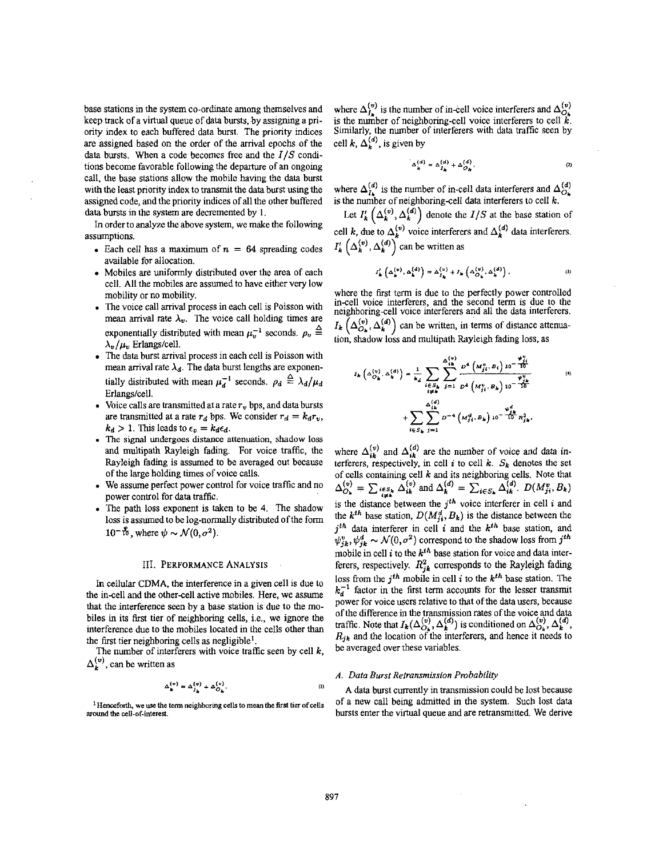base stations in the system co-ordinate among themselves and keep track of a virtual queue of data bursts, by assigmng a priority index to each buffered data burst. The priority indices are assigned based on the order of the arrival epochs of the data bursts. When a code becomes free and the *I/S* conditions become favorable following the departure of an ongoing call, the base stations allow the mobile having the data burst with the least priority index to transmit the data burst using the assigned code, and the priority indices of all the other buffered data bursts in the system are decremented by 1.

In order to analyze the above system, we make the following assumptions.

- Each cell has a maximum of  $n = 64$  spreading codes available for allocation.
- Mobiles are uniformly distributed over the area of each cell. All the mobiles are assumed to have either very low mobility or no mobility.
- . The voice call arrival process in each cell is Poisson with mean arrival rate  $\lambda_v$ . The voice call holding times are exponentially distributed with mean  $\mu_v^{-1}$  seconds.  $\rho_v \triangleq$  $\lambda_v/\mu_v$  Erlangs/cell.
- The data burst arrival process in each cell is Poisson with  $\bullet$ mean arrival rate  $\lambda_d$ . The data burst lengths are exponentially distributed with mean  $\mu_d^{-1}$  seconds.  $\rho_d \triangleq \lambda_d/\mu_d$ Erlangs/cell.
- Voice calls are transmitted at a rate  $r_v$  bps, and data bursts are transmitted at a rate  $r_d$  bps. We consider  $r_d = k_d r_v$ ,  $k_d > 1$ . This leads to  $\epsilon_v = k_d \epsilon_d$ .
- The **signal** undergoes distance attenuation, **shadow loss**  and multipath Rayleigh fading. For voice traffic, the Rayleigh fading is assumed to be averaged out because
- of the large holding times of voice calls.<br>• We assume perfect power control for voice traffic and no power control for data traffic.
- . The path loss exponent is taken **be 4,** The shadow loss **is** assumed to be log-normally distributed ofthe form  $10^{-\frac{3}{10}}$ , where  $\psi \sim \mathcal{N}(0, \sigma^2)$ .

In cellular CDMA. the interference in a given cell is due to the in-cell and the other-cell active mobiles. Here, we assume that the .interference **seen** by a base station is **due** to the mobiles in its *first* tier of neighboring cells, i.e., we ignore the interference due to the mobiles located in the cells other than the first tier neighboring cells as negligible<sup>1</sup>.

The number of interferers with voice traffic seen by cell *k,*   $\Delta_k^{(v)}$ , can be written as

$$
\Delta_{\mathbf{k}}^{(v)} = \Delta_{\mathbf{j}_{\mathbf{k}}}^{(v)} + \Delta_{\mathbf{O}_{\mathbf{k}}}^{(v)},\tag{1}
$$

**around the cell-of-interest** 

where  $\Delta_L^{\nu}$  is the number of in-cell voice interferers and  $\Delta_{\Omega_L}^{\nu}$ is the number of neighboring-cell voice interferers to cell *k.*  Similarly, the number of interferers with data traffic seen by cell *k*,  $\Delta_k^{(d)}$ , is given by

$$
\Delta_{\mathbf{k}}^{(d)} = \Delta_{\mathbf{j}_{\mathbf{k}}}^{(d)} + \Delta_{\mathcal{O}_{\mathbf{k}}}^{(d)}.
$$
 (2)

where  $\Delta_{I_{\rm h}}^{(a)}$  is the number of in-cell data interferers and  $\Delta_{O_{\rm h}}^{(a)}$ is the number of neighboring-cell data interferers to cell *k.* 

Let  $I'_k\left(\Delta_k^{(v)}, \Delta_k^{(d)}\right)$  denote the  $I/S$  at the base station of cell *k*, due to  $\Delta_k^{(v)}$  voice interferers and  $\Delta_k^{(d)}$  data interferers.  $I'_k\left(\Delta_k^{(v)}, \Delta_k^{(d)}\right)$  can be written as

$$
I'_{k}\left(\Delta_{k}^{(v)}, \Delta_{k}^{(d)}\right) = \Delta_{I_{k}}^{(v)} + I_{k}\left(\Delta_{O_{k}}^{(v)}, \Delta_{k}^{(d)}\right), \qquad (3)
$$

where the frst term is due to the perfectly power controlled in-cell voice interferers, and the second term is due to the neighboring-cell voice interferers and all the data interferers.  $I_k\left(\Delta_{O_k}^{(v)},\Delta_k^{(d)}\right)$  can be written, in terms of distance attenuation, shadow loss and multipath Rayleigh fading loss, as

$$
I_{k}\left(\Delta_{O_{k}}^{(v)}, \Delta_{k}^{(d)}\right) = \frac{1}{k_{d}} \sum_{i \in S_{k}} \sum_{j=1}^{\Delta_{i,k}^{(v)}} \frac{D^{4}\left(M_{ji}^{v}, B_{i}\right) 10^{-\frac{\Psi_{ij}^{v}}{10}}}{D^{4}\left(M_{ji}^{v}, B_{k}\right) 10^{-\frac{\Psi_{ij}^{u}}{10}}}
$$
\n
$$
+ \sum_{i \in S_{k}} \sum_{j=1}^{\Delta_{i,k}^{(d)}} D^{-4}\left(M_{ji}^{d}, B_{k}\right) 10^{-\frac{\Psi_{ij}^{d}}{10}} B_{ji}^{2},
$$
\n(6)

where  $\Delta_{ik}^{(v)}$  and  $\Delta_{ik}^{(a)}$  are the number of voice and data interferers, respectively, in cell  $i$  to cell  $k$ .  $S_k$  denotes the set of the large holding times of voice calls. of cells containing cell *k* and its neighboring cells. Note that We assume perfect power control for voice traffic and no  $\Delta_{O_k}^{(v)} = \sum_{i \neq k} A_{ik}^{(v)}$  and  $\Delta_k^{(d)} = \sum_{i \in S_k} \Delta$ is the distance between the  $j<sup>th</sup>$  voice interferer in cell  $i$  and the  $k^{th}$  base station,  $D(M_{ii}^d, B_k)$  is the distance between the  $j<sup>th</sup>$  data interferer in cell *i* and the  $k<sup>th</sup>$  base station, and  $j^{th}$  data interferer in cell *i* and the  $k^{th}$  base station, and  $\psi_{jk}^v, \psi_{jk}^d \sim \mathcal{N}(0, \sigma^2)$  correspond to the shadow loss from  $j^{th}$ mobile in cell *i* to the *kth* base station for voice and data inter-111. PERFORMANCE ANALYSIS **ferers**, respectively.  $R_{ik}^2$  corresponds to the Rayleigh fading **loss** from the **jth** mobiie in cell *i* to the *kth* base station. The  $k_d^{-1}$  factor in the first term accounts for the lesser transmit power for voice users relative to that of the data users, because of the difference in the transmission rates of the voice and data traffic. Note that  $I_k(\Delta_{\Omega_k}^{(v)}, \Delta_k^{(u)})$  is conditioned on  $\Delta_{\Omega_k}^{(v)}, \Delta_k^{(u)},$  $R_{jk}$  and the location of the interferers, and hence it needs to be averaged over these variables.

#### *A. Data Burst Retransmission Pmobabiliw*

<sup>1)</sup> A data burst currently in transmission could be lost because bursts enter the virtual queue and are retransmitted. We derive <sup>1</sup> Henceforth, we use the term neighboring cells to mean the first tier of cells of a new call being admitted in the system. Such lost data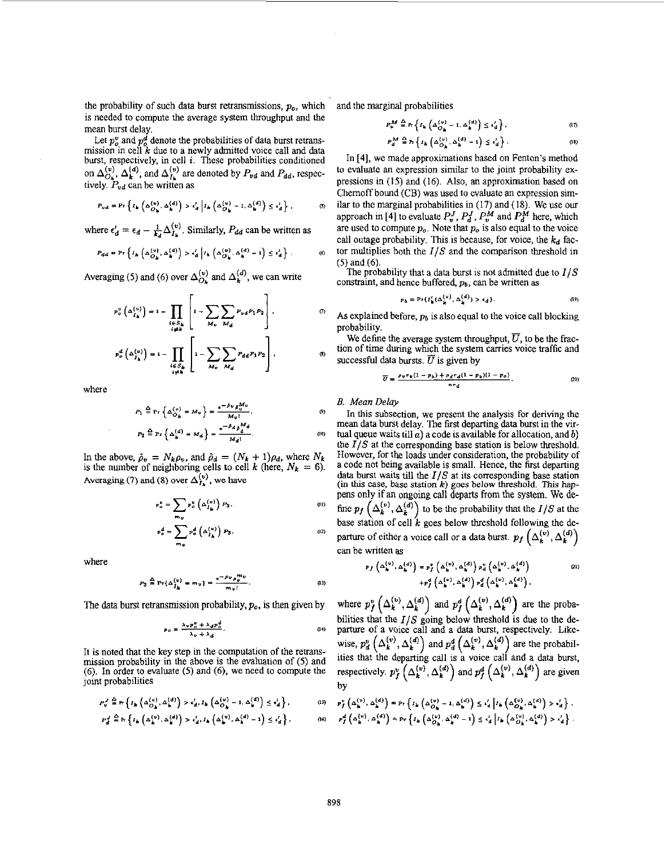the probability of such data burst retransmissions,  $p<sub>o</sub>$ , which is needed to compute the average system throughput and the mean burst delay.

Let  $p_o^v$  and  $p_o^d$  denote the probabilities of data burst retransmission in cell *k* due to a newly admitted voice call and data burst, respectively, in cell *i.* These probabilities conditioned on  $\Delta_{O_k}^{(v)}$ ,  $\Delta_k^{(a)}$ , and  $\Delta_{I_k}^{(v)}$  are denoted by  $P_{vd}$  and  $P_{dd}$ , respectively. *Pud* can be written as

$$
P_{ud} = \Pr\left\{I_k\left(\Delta_{\hat{O}_k}^{(v)}, \Delta_k^{(d)}\right) > \epsilon_d^l \middle| I_k\left(\Delta_{\hat{O}_k}^{(v)} - 1, \Delta_k^{(d)}\right) \leq \epsilon_d^l\right\},\tag{5}
$$

where  $\epsilon_d' = \epsilon_d - \frac{1}{k_1} \Delta_{l_1}^{(v)}$ . Similarly,  $P_{dd}$  can be written as

$$
P_{dd} = \Pr\left\{I_h\left(\Delta_{O_{\mathbf{h}}}^{(v)}, \Delta_{\mathbf{h}}^{(d)}\right) > \epsilon_d' \middle| I_h\left(\Delta_{O_{\mathbf{h}}}^{(v)}, \Delta_{\mathbf{h}}^{(d)} - 1\right) \le \epsilon_d'\right\}.
$$
 (6)

Averaging (5) and (6) over  $\Delta_{O_k}^{(v)}$  and  $\Delta_k^{(d)}$ , we can write

$$
p_o^v\left(\Delta_{I_k}^{(v)}\right) = 1 - \prod_{\substack{i \in S_k \\ i \neq k}} \left[1 - \sum_{M_v} \sum_{M_d} P_{vd} P_1 P_2 \right],
$$
\n
$$
p_o^d\left(\Delta_{I_k}^{(v)}\right) = 1 - \prod_{\substack{i \in S_k \\ i \neq k}} \left[1 - \sum_{M_u} \sum_{M_d} P_{dd} P_1 P_2 \right],
$$
\n(8)

where

$$
P_1 \stackrel{\Delta}{=} \Pr\left\{\Delta_{O_B}^{(v)} = M_v\right\} = \frac{e^{-\beta v} \rho_0^{M_v}}{M_v!},
$$
  

$$
P_2 \stackrel{\Delta}{=} \Pr\left\{\Delta_{h}^{(d)} = M_d\right\} = \frac{e^{-\beta d} \rho_0^{M_d}}{M_d!}.
$$
 (0)

In the above,  $\hat{\rho}_v = N_k \rho_v$ , and  $\hat{\rho}_d = (N_k + 1)\rho_d$ , where  $N_k$ is the number of neighboring cells to cell *k* (here,  $N_k = 6$ ). Averaging (7) and (8) over  $\Delta_{I_n}^{(v)}$ , we have

$$
\mathbf{p}_{a}^{\mathbf{v}} = \sum_{\mathbf{m}_{11}} \mathbf{p}_{a}^{\mathbf{v}} \left( \Delta_{I_{\mathbf{h}}}^{(\mathbf{v})} \right) P_{3}, \tag{1}
$$

$$
p_o^d = \sum_{m_b} p_o^d \left( \Delta_{I_k}^{(v)} \right) P_3. \tag{2}
$$

where

$$
P_3 \stackrel{\Delta}{=} \Pr{\Delta_{\hat{I}_k}^{(v)} = m_v} = \frac{e^{-\rho_v} \rho_v^{m_v}}{m_v!}.
$$
 (13)

The data burst retransmission probability,  $p<sub>o</sub>$ , is then given by

$$
p_{\rho} = \frac{\lambda_{v} p_{\rho}^{u} + \lambda_{d} p_{\rho}^{d}}{\lambda_{u} + \lambda_{d}}.
$$
 (14)

It is noted that the key step in the computation of the retransmission probability in the above is the evaluation of *(5)* and **(6). In** order to evaluate *(5)* and **(6),** we need to compute the joint probabilities

$$
P_y^J \stackrel{\Delta}{=} \Pr\left\{I_k\left(\Delta_{O_k}^{(u)}, \Delta_k^{(d)}\right) > \epsilon_d^I, I_k\left(\Delta_{O_k}^{(v)} - 1, \Delta_k^{(d)}\right) \leq \epsilon_d^I\right\},\tag{15}
$$

$$
P_d^J \stackrel{\Delta}{=} \Pr\left\{I_{\frac{1}{n}}\left(\Delta_{\frac{1}{n}}^{(v)}, \Delta_{\frac{1}{n}}^{(d)}\right) > \epsilon_d^{\prime}, I_{\frac{1}{n}}\left(\Delta_{\frac{1}{n}}^{(v)}, \Delta_{\frac{1}{n}}^{(d)} - 1\right) \leq \epsilon_d^{\prime}\right\},\tag{6}
$$

and the marginal probabilities

$$
P_{v}^{M} \stackrel{\Delta}{=} Pr\left\{ I_{k}\left( \Delta_{O_{k}}^{(v)} - 1, \Delta_{k}^{(d)} \right) \leq \epsilon_{d}^{t} \right\},
$$
\n(7)

 $P_d^{\text{max}} \equiv R \left\{ I_k \left( \Delta_{O_k}^{(N)}, \Delta_k^{(d)} - 1 \right) \leq \epsilon_d \right\}.$ In **141, we** made approximations based on Fenton's method

to evaluate an expression similar to the joint probability expressions in **(15)** and (16). Also, **an** approximation based on Chernoff bound (CB) was used to evaluate an expression similar to the marginal probabilities in (17) and (18). We **use** our approach in [4] to evaluate  $P_v^J$ ,  $P_d^J$ ,  $P_v^M$  and  $P_d^M$  here, which are used to compute  $p<sub>o</sub>$ . Note that  $p<sub>o</sub>$  is also equal to the voice call outage probability. This is because, for voice, the  $k_d$  factor multiplies both the *I/S* and the comparison threshold in (5) and (6).

The probability that a data burst is not admitted due to *I/S*  constraint, and hence buffered, *p).* can be written **as** 

$$
p_b = \Pr\{I_k^l(\Delta_k^{(v)}, \Delta_k^{(d)}) > \epsilon_d\}.
$$
 (19)

As explained before,  $p_b$  is also equal to the voice call blocking probability.

We define the average system throughput,  $\overline{U}$ , to be the fraction of time during which the system carries voice traffic and successful data bursts.  $\overline{U}$  is given by

$$
\overline{U} = \frac{\rho_V r_v (1 - p_b) + \rho_d r_d (1 - p_b)(1 - p_o)}{n r_d}.
$$
 (20)

*E. Mean Delay* 

In this subsection, we present the analysis for deriving the mean data burst delay. The first departing data burst in the virtual queue waits till *a)* a code is available for allocation, and *b)*  the *I/S* at the corresponding base station is below threshold. However, for the loads under consideration, the probability of a code not being available is small. Hence, the first departing data burst waits till the *I/S* at its corresponding base station **(in** this case, base **station** *k)* goes below threshold. **This** *hap*pens only **if** an ongoing call departs from the system. We define  $p_f\left(\Delta_k^{(v)}, \Delta_k^{(d)}\right)$  to be the probability that the *I/S* at the base station of cell *k* goes below threshold following the departure of either a voice call or a data burst.  $p_f\left(\Delta_k^{(v)}, \Delta_k^{(d)}\right)$ can be written **as** 

$$
p_f\left(\Delta_{\mathbf{k}}^{(v)},\Delta_{\mathbf{k}}^{(d)}\right)=p_f^v\left(\Delta_{\mathbf{k}}^{(v)},\Delta_{\mathbf{k}}^{(d)}\right)p_d^v\left(\Delta_{\mathbf{k}}^{(v)},\Delta_{\mathbf{k}}^{(d)}\right) \qquad (21)
$$

$$
+p_f^d\left(\Delta_{\mathbf{k}}^{(v)},\Delta_{\mathbf{k}}^{(d)}\right)p_d^d\left(\Delta_{\mathbf{k}}^{(v)},\Delta_{\mathbf{k}}^{(d)}\right),
$$

where  $p_f^v\left(\Delta_k^{(v)},\Delta_k^{(d)}\right)$  and  $p_f^d\left(\Delta_k^{(v)},\Delta_k^{(d)}\right)$  are the probabilities that the  $I/S$  going below threshold is due to the departure of a voice call and a data burst, respectively. Likewise,  $p_d^v\left(\Delta_k^{(v)}, \Delta_k^{(d)}\right)$  and  $p_d^d\left(\Delta_k^{(v)}, \Delta_k^{(d)}\right)$  are the probabilities that the departing call is a voice call and a data burst, respectively.  $p_f^v(\Delta_k^{(v)}, \Delta_k^{(d)})$  and  $p_f^d(\Delta_k^{(v)}, \Delta_k^{(d)})$  are given by

$$
\begin{array}{l} p_{f}^{V}\left(\Delta _{h}^{\left( v\right) },\,\Delta _{h}^{\left( d\right) }\right) \equiv \Pr \left\{ I_{h}\left(\Delta _{O_{h} }^{\left( v\right) }-1,\Delta _{h}^{\left( d\right) }\right) \leq \epsilon _{d}^{I}\left| I_{h}\left(\Delta _{O_{h} }^{\left( v\right) },\Delta _{h}^{\left( d\right) }\right) >\epsilon _{d}^{I}\right\} \right. ,\\ p_{f}^{d}\left(\Delta _{h}^{\left( v\right) },\,\Delta _{h}^{\left( d\right) }\right) \approx \Pr \left\{ I_{h}\left(\Delta _{O_{h} }^{\left( v\right) },\Delta _{h}^{\left( d\right) }-1\right) \leq \epsilon _{d}^{I}\left| I_{h}\left(\Delta _{O_{h} }^{\left( v\right) },\Delta _{h}^{\left( d\right) }\right) >\epsilon _{d}^{I}\right\} \right. .\end{array}
$$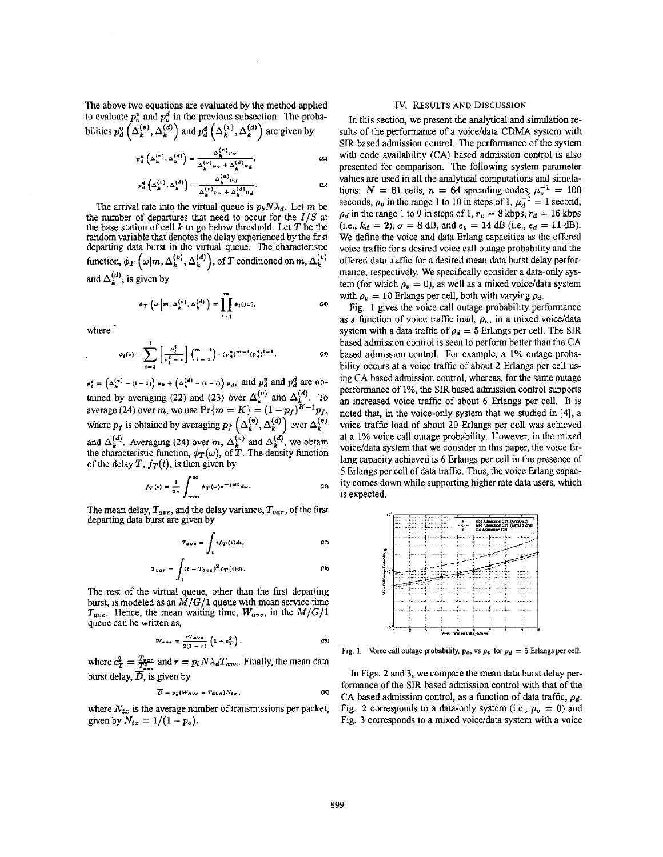The above two equations are evaluated by the method applied to evaluate  $p_a^v$  and  $p_a^d$  in the previous subsection. The probabilities  $p_d^u(\Delta_k^{(v)}, \Delta_k^{(d)})$  and  $p_d^d(\Delta_k^{(v)}, \Delta_k^{(d)})$  are given by

$$
P_{\alpha}^{\nu}\left(\Delta_{\mathbf{k}}^{(\nu)},\Delta_{\mathbf{k}}^{(d)}\right)=\frac{\Delta_{\mathbf{k}}^{(\nu)}\mu_{\nu}}{\Delta_{\mathbf{k}}^{(\nu)}\mu_{\nu}+\Delta_{\mathbf{k}}^{(d)}\mu_{d}},\tag{22}
$$

$$
p_d^d\left(\Delta_k^{(v)}, \Delta_k^{(d)}\right) = \frac{\Delta_k^{(d)}\mu_d}{\Delta_k^{(v)}\mu_v + \Delta_k^{(d)}\mu_d}.
$$
 (23)

The arrival rate into the virtual queue is  $p_bN\lambda_d$ . Let m be the number of departures that need to occur for the *IIS* at the base station of cell  $k$  to go below threshold. Let  $T$  be the random variable that denotes the delay experienced by the first departing data burst in the virtual queue. The characteristic function,  $\phi_T$   $\{\omega|m,\Delta_k^{(v)},\Delta_k^{(a)}\}$ , of T conditioned on m,  $\Delta_k^{(v)}$ and  $\Delta_i^{(d)}$ , is given by

$$
\phi_T\left(\omega\left|m,\Delta_k^{(v)},\Delta_k^{(d)}\right.\right)=\prod_{i=1}^m\phi_i(j\omega),\qquad(24)
$$

where

$$
\phi_i(s) = \sum_{i=1}^l \left[ \frac{\mu_i^i}{\mu_i^i - s} \right] {\binom{m-1}{i-1}} \cdot (p_d^v)^{m-1} (p_d^d)^{i-1}, \qquad (2)
$$

 $\mu_i^i = (\Delta_k^{(v)} - (i - 1)) \mu_v + (\Delta_k^{(d)} - (i - 1)) \mu_d$ , and  $p_d^d$  and  $p_d^d$  are obtained by averaging (22) and (23) over  $\Delta_k^{(v)}$  and  $\Delta_k^{(d)}$ . To an increased voice traffic of about 6 Erlangs per caverage (24) over m, we use  $Pr{m = K} = (1 - p_f)^{K-1}p_f$ , noted that, in the voice-only system that we studie where  $p_f$  is obtained by averaging  $p_f\left(\Delta_k^{(v)}, \Delta_k^{(d)}\right)$  over  $\Delta_k^{(v)}$ . and  $\Delta_k^{(d)}$ . Averaging (24) over m,  $\Delta_k^{(v)}$  and  $\Delta_k^{(d)}$ , we obtain the characteristic function,  $\phi_T(\omega)$ , of T. The density function of the delay *T*,  $f_T(t)$ , is then given by

$$
f_T(t) = \frac{1}{2\pi} \int_{-\infty}^{\infty} \phi_T(\omega) e^{-j\omega t} d\omega.
$$
 (26)

The mean delay,  $T_{ave}$ , and the delay variance,  $T_{var}$ , of the first departing **data** burst are given by

$$
T_{ave} = \int_{t} t f_{T}(t) dt, \qquad (27)
$$

$$
T_{var} = \int_{t} (t - T_{ave})^2 f_T(t) dt.
$$
 (28)

The rest of the virtual queue, other than the first departing burst, is modeled as an  $M/G/1$  queue with mean service time  $T_{ave}$ . Hence, the mean waiting time,  $W_{ave}$ , in the  $M/G/1$ queue can **be** written as,

$$
W_{ave} = \frac{rT_{ave}}{2(1-r)} \left(1 + c_T^2\right), \qquad (2)
$$

where  $c_T^2 = \frac{T_{var}}{T_{avg}}$  and  $r = p_b N \lambda_d T_{ave}$ . Finally, the mean data burst delay,  $\overline{D}$ , is given by

given by  
\n
$$
\overline{D} = p_b (W_{ave} + T_{ave}) N_{tx},
$$
\n(39)

where  $N_{tx}$  is the average number of transmissions per packet, given by  $N_{tx} = 1/(1 - p_o)$ .

#### **IV. RESULTS AND DISCUSSION**

In this section, we present the analytical and simulation results of the performance of a voice/data CDMA system with SIR based admission control. The performance of the system with code availability **(CA)** based admission control is also presented for comparison. The following system parameter values are used in all the analytical computations and simulations:  $N = 61$  cells,  $n = 64$  spreading codes,  $\mu_v^{-1} = 100$ seconds,  $\rho_v$  in the range 1 to 10 in steps of 1,  $\mu_d^{-1} = 1$  second,  $\rho_d$  in the range 1 to 9 in steps of 1,  $r_v = 8$  kbps,  $r_d = 16$  kbps  $(i.e., k_d = 2), \sigma = 8$  dB, and  $\epsilon_v = 14$  dB  $(i.e., \epsilon_d = 11$  dB). We define the voice and data Erlang capacities as the offered voice traffic for a desired voice call outage probability and the offered data traffic for a desired mean data burst delay performance, respectively. We specifically consider a data-only system (for which  $\rho_v = 0$ ), as well as a mixed voice/data system with  $\rho_v = 10$  Erlangs per cell, both with varying  $\rho_d$ .

Fig. 1 gives the voice call outage probability performance as a function of voice traffic load,  $\rho_v$ , in a mixed voice/data system with a data traffic of  $\rho_d = 5$  Erlangs per cell. The SIR based admission control **is** seen to perfom better than the **CA**  based admission control. For example, a **I%** outage probability occurs at a voice traffic of about **2** Erlangs per cell using CA based admission control, whereas, for the same outage performance of 1%, the SIR based admission control supports an increased voice traffic of about *6* Erlangs per cell. It **is**  noted that, in the voice-only system that we studied in **[41,** a voice traffic load of about **20** Erlangs Der cell was achieved at a **1%** voice call outage probability. However, in the mixed voice/data system that we consider in this paper, the voice Erlang capacity achieved is 6 Erlangs per cell in the presence of **5** Erlangs per cell of data traffic. Thus, the voice Erlang capac*ity* comes down while supporting higher rate data users, which is expected.



Fig. 1. Voice call outage probability,  $p_o$ , vs  $\rho_v$  for  $\rho_d = 5$  Erlangs per cell.

In Figs. **2** and **3,** we compare the mean **data** burst delay performance of the SIR based admission control with that of the **CA** based admission control, **as** a function of data traffic, *pd.*  Fig. 2 corresponds to a data-only system (i.e.,  $\rho_v = 0$ ) and Fig. **3** corresponds to a mixed voice/data system with a voice